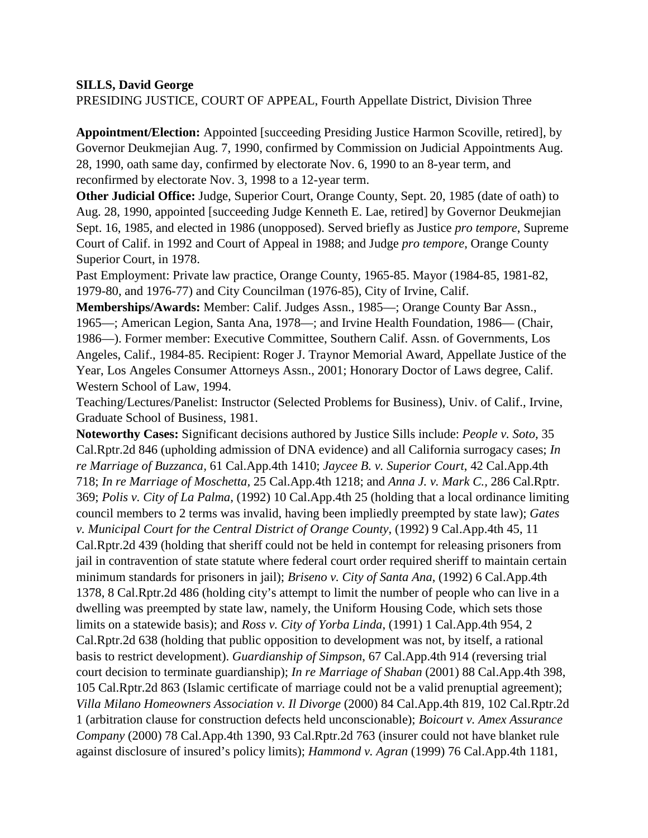## **SILLS, David George**

PRESIDING JUSTICE, COURT OF APPEAL, Fourth Appellate District, Division Three

**Appointment/Election:** Appointed [succeeding Presiding Justice Harmon Scoville, retired], by Governor Deukmejian Aug. 7, 1990, confirmed by Commission on Judicial Appointments Aug. 28, 1990, oath same day, confirmed by electorate Nov. 6, 1990 to an 8-year term, and reconfirmed by electorate Nov. 3, 1998 to a 12-year term.

**Other Judicial Office:** Judge, Superior Court, Orange County, Sept. 20, 1985 (date of oath) to Aug. 28, 1990, appointed [succeeding Judge Kenneth E. Lae, retired] by Governor Deukmejian Sept. 16, 1985, and elected in 1986 (unopposed). Served briefly as Justice *pro tempore*, Supreme Court of Calif. in 1992 and Court of Appeal in 1988; and Judge *pro tempore*, Orange County Superior Court, in 1978.

Past Employment: Private law practice, Orange County, 1965-85. Mayor (1984-85, 1981-82, 1979-80, and 1976-77) and City Councilman (1976-85), City of Irvine, Calif.

**Memberships/Awards:** Member: Calif. Judges Assn., 1985—; Orange County Bar Assn., 1965—; American Legion, Santa Ana, 1978—; and Irvine Health Foundation, 1986— (Chair, 1986—). Former member: Executive Committee, Southern Calif. Assn. of Governments, Los Angeles, Calif., 1984-85. Recipient: Roger J. Traynor Memorial Award, Appellate Justice of the Year, Los Angeles Consumer Attorneys Assn., 2001; Honorary Doctor of Laws degree, Calif. Western School of Law, 1994.

Teaching/Lectures/Panelist: Instructor (Selected Problems for Business), Univ. of Calif., Irvine, Graduate School of Business, 1981.

**Noteworthy Cases:** Significant decisions authored by Justice Sills include: *People v. Soto,* 35 Cal.Rptr.2d 846 (upholding admission of DNA evidence) and all California surrogacy cases; *In re Marriage of Buzzanca,* 61 Cal.App.4th 1410; *Jaycee B. v. Superior Court*, 42 Cal.App.4th 718; *In re Marriage of Moschetta,* 25 Cal.App.4th 1218; and *Anna J. v. Mark C.,* 286 Cal.Rptr. 369; *Polis v. City of La Palma*, (1992) 10 Cal.App.4th 25 (holding that a local ordinance limiting council members to 2 terms was invalid, having been impliedly preempted by state law); *Gates v. Municipal Court for the Central District of Orange County*, (1992) 9 Cal.App.4th 45, 11 Cal.Rptr.2d 439 (holding that sheriff could not be held in contempt for releasing prisoners from jail in contravention of state statute where federal court order required sheriff to maintain certain minimum standards for prisoners in jail); *Briseno v. City of Santa Ana*, (1992) 6 Cal.App.4th 1378, 8 Cal.Rptr.2d 486 (holding city's attempt to limit the number of people who can live in a dwelling was preempted by state law, namely, the Uniform Housing Code, which sets those limits on a statewide basis); and *Ross v. City of Yorba Linda*, (1991) 1 Cal.App.4th 954, 2 Cal.Rptr.2d 638 (holding that public opposition to development was not, by itself, a rational basis to restrict development). *Guardianship of Simpson*, 67 Cal.App.4th 914 (reversing trial court decision to terminate guardianship); *In re Marriage of Shaban* (2001) 88 Cal.App.4th 398, 105 Cal.Rptr.2d 863 (Islamic certificate of marriage could not be a valid prenuptial agreement); *Villa Milano Homeowners Association v. Il Divorge* (2000) 84 Cal.App.4th 819, 102 Cal.Rptr.2d 1 (arbitration clause for construction defects held unconscionable); *Boicourt v. Amex Assurance Company* (2000) 78 Cal.App.4th 1390, 93 Cal.Rptr.2d 763 (insurer could not have blanket rule against disclosure of insured's policy limits); *Hammond v. Agran* (1999) 76 Cal.App.4th 1181,